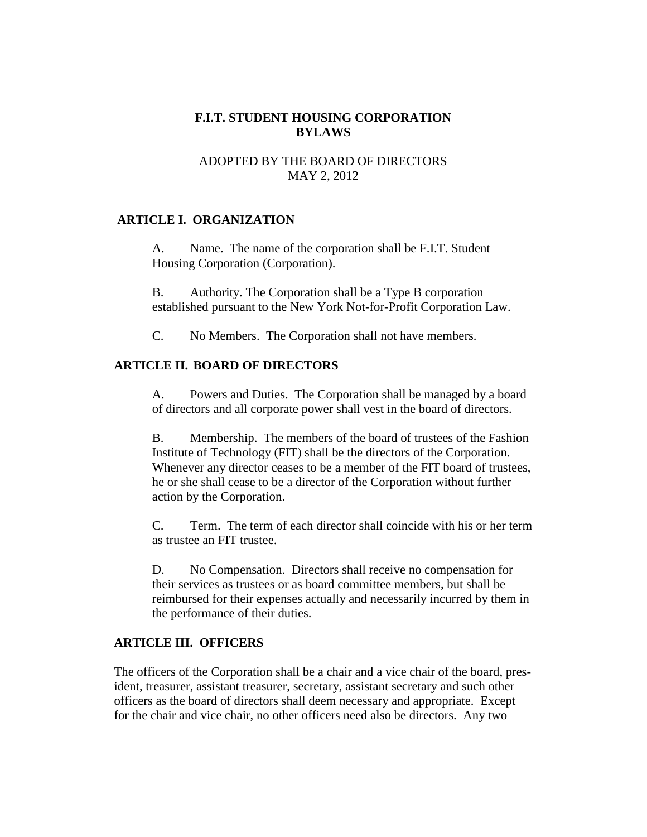# **F.I.T. STUDENT HOUSING CORPORATION BYLAWS**

## ADOPTED BY THE BOARD OF DIRECTORS MAY 2, 2012

## **ARTICLE I. ORGANIZATION**

A. Name. The name of the corporation shall be F.I.T. Student Housing Corporation (Corporation).

B. Authority. The Corporation shall be a Type B corporation established pursuant to the New York Not-for-Profit Corporation Law.

C. No Members. The Corporation shall not have members.

## **ARTICLE II. BOARD OF DIRECTORS**

A. Powers and Duties. The Corporation shall be managed by a board of directors and all corporate power shall vest in the board of directors.

B. Membership. The members of the board of trustees of the Fashion Institute of Technology (FIT) shall be the directors of the Corporation. Whenever any director ceases to be a member of the FIT board of trustees, he or she shall cease to be a director of the Corporation without further action by the Corporation.

C. Term. The term of each director shall coincide with his or her term as trustee an FIT trustee.

D. No Compensation. Directors shall receive no compensation for their services as trustees or as board committee members, but shall be reimbursed for their expenses actually and necessarily incurred by them in the performance of their duties.

## **ARTICLE III. OFFICERS**

The officers of the Corporation shall be a chair and a vice chair of the board, president, treasurer, assistant treasurer, secretary, assistant secretary and such other officers as the board of directors shall deem necessary and appropriate. Except for the chair and vice chair, no other officers need also be directors. Any two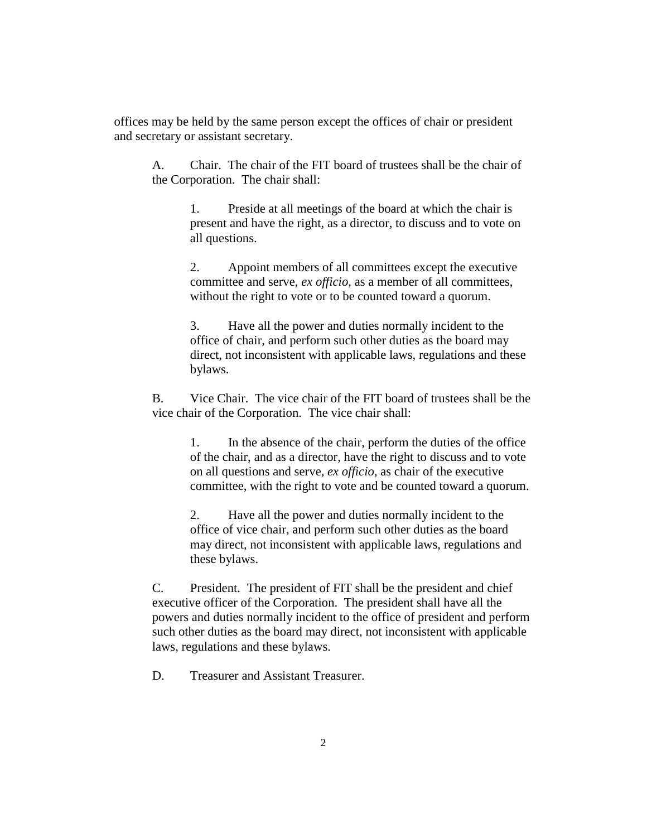offices may be held by the same person except the offices of chair or president and secretary or assistant secretary.

A. Chair. The chair of the FIT board of trustees shall be the chair of the Corporation. The chair shall:

> 1. Preside at all meetings of the board at which the chair is present and have the right, as a director, to discuss and to vote on all questions.

> 2. Appoint members of all committees except the executive committee and serve, *ex officio*, as a member of all committees, without the right to vote or to be counted toward a quorum.

3. Have all the power and duties normally incident to the office of chair, and perform such other duties as the board may direct, not inconsistent with applicable laws, regulations and these bylaws.

B. Vice Chair. The vice chair of the FIT board of trustees shall be the vice chair of the Corporation. The vice chair shall:

> 1. In the absence of the chair, perform the duties of the office of the chair, and as a director, have the right to discuss and to vote on all questions and serve, *ex officio*, as chair of the executive committee, with the right to vote and be counted toward a quorum.

2. Have all the power and duties normally incident to the office of vice chair, and perform such other duties as the board may direct, not inconsistent with applicable laws, regulations and these bylaws.

C. President. The president of FIT shall be the president and chief executive officer of the Corporation. The president shall have all the powers and duties normally incident to the office of president and perform such other duties as the board may direct, not inconsistent with applicable laws, regulations and these bylaws.

D. Treasurer and Assistant Treasurer.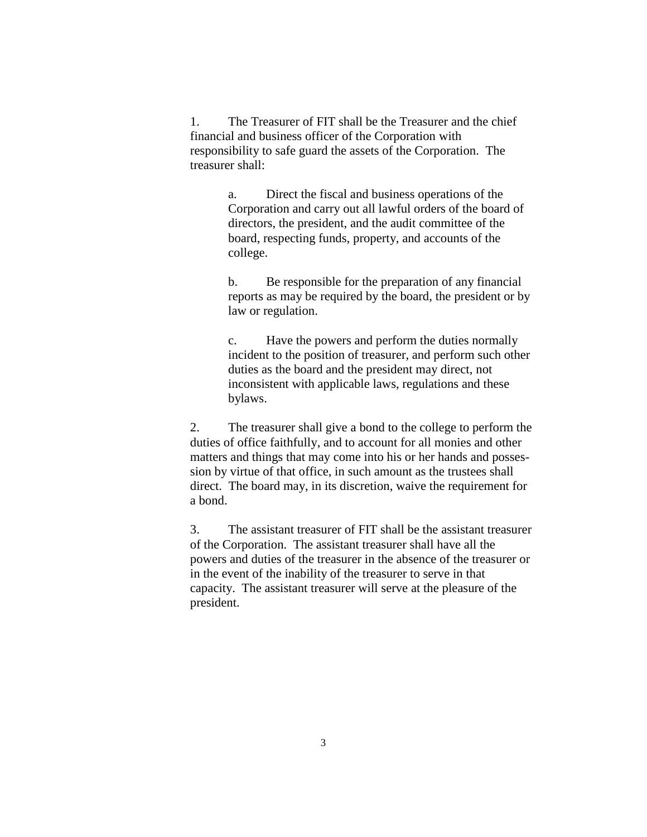1. The Treasurer of FIT shall be the Treasurer and the chief financial and business officer of the Corporation with responsibility to safe guard the assets of the Corporation. The treasurer shall:

> a. Direct the fiscal and business operations of the Corporation and carry out all lawful orders of the board of directors, the president, and the audit committee of the board, respecting funds, property, and accounts of the college.

b. Be responsible for the preparation of any financial reports as may be required by the board, the president or by law or regulation.

c. Have the powers and perform the duties normally incident to the position of treasurer, and perform such other duties as the board and the president may direct, not inconsistent with applicable laws, regulations and these bylaws.

2. The treasurer shall give a bond to the college to perform the duties of office faithfully, and to account for all monies and other matters and things that may come into his or her hands and possession by virtue of that office, in such amount as the trustees shall direct. The board may, in its discretion, waive the requirement for a bond.

3. The assistant treasurer of FIT shall be the assistant treasurer of the Corporation. The assistant treasurer shall have all the powers and duties of the treasurer in the absence of the treasurer or in the event of the inability of the treasurer to serve in that capacity. The assistant treasurer will serve at the pleasure of the president.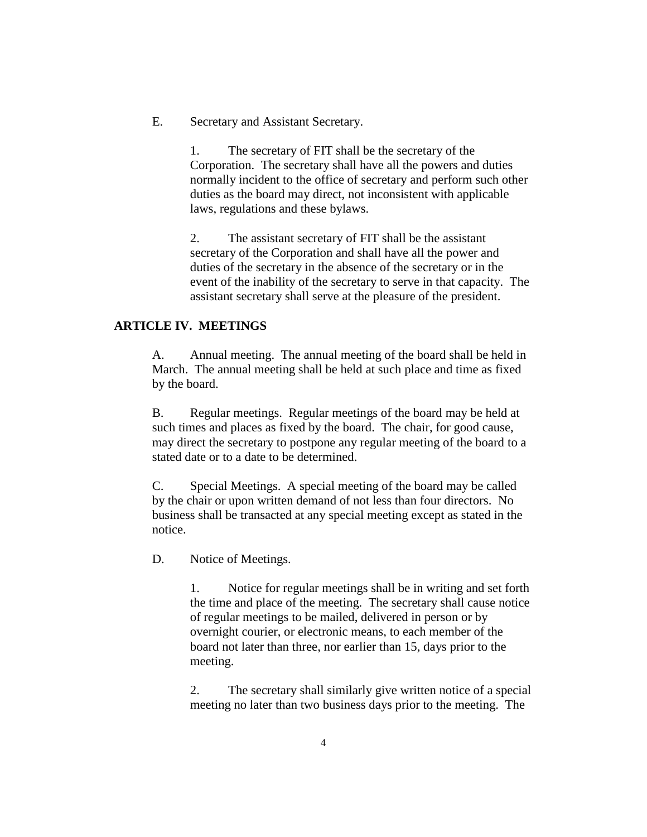E. Secretary and Assistant Secretary.

1. The secretary of FIT shall be the secretary of the Corporation. The secretary shall have all the powers and duties normally incident to the office of secretary and perform such other duties as the board may direct, not inconsistent with applicable laws, regulations and these bylaws.

2. The assistant secretary of FIT shall be the assistant secretary of the Corporation and shall have all the power and duties of the secretary in the absence of the secretary or in the event of the inability of the secretary to serve in that capacity. The assistant secretary shall serve at the pleasure of the president.

# **ARTICLE IV. MEETINGS**

A. Annual meeting. The annual meeting of the board shall be held in March. The annual meeting shall be held at such place and time as fixed by the board.

B. Regular meetings. Regular meetings of the board may be held at such times and places as fixed by the board. The chair, for good cause, may direct the secretary to postpone any regular meeting of the board to a stated date or to a date to be determined.

C. Special Meetings. A special meeting of the board may be called by the chair or upon written demand of not less than four directors. No business shall be transacted at any special meeting except as stated in the notice.

D. Notice of Meetings.

1. Notice for regular meetings shall be in writing and set forth the time and place of the meeting. The secretary shall cause notice of regular meetings to be mailed, delivered in person or by overnight courier, or electronic means, to each member of the board not later than three, nor earlier than 15, days prior to the meeting.

2. The secretary shall similarly give written notice of a special meeting no later than two business days prior to the meeting. The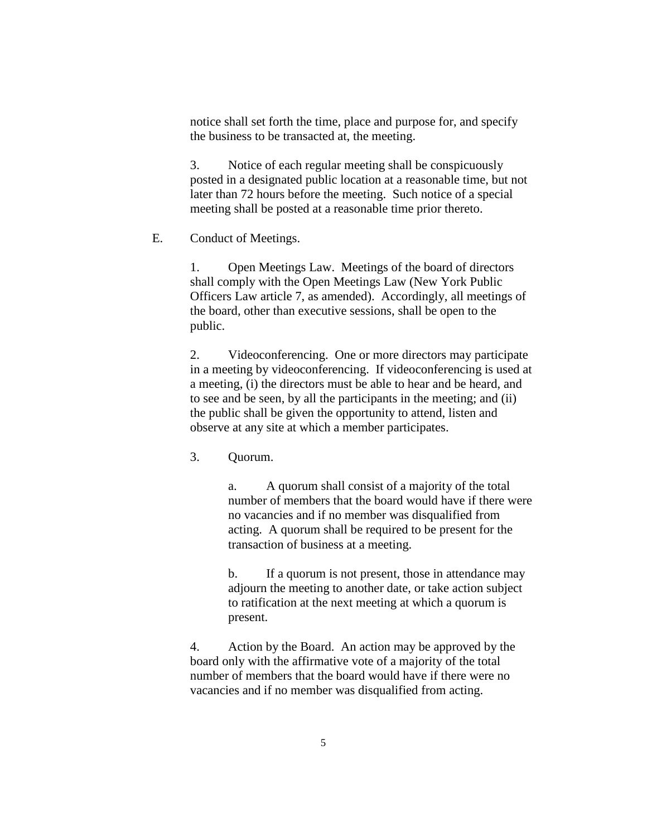notice shall set forth the time, place and purpose for, and specify the business to be transacted at, the meeting.

3. Notice of each regular meeting shall be conspicuously posted in a designated public location at a reasonable time, but not later than 72 hours before the meeting. Such notice of a special meeting shall be posted at a reasonable time prior thereto.

E. Conduct of Meetings.

1. Open Meetings Law. Meetings of the board of directors shall comply with the Open Meetings Law (New York Public Officers Law article 7, as amended). Accordingly, all meetings of the board, other than executive sessions, shall be open to the public.

2. Videoconferencing. One or more directors may participate in a meeting by videoconferencing. If videoconferencing is used at a meeting, (i) the directors must be able to hear and be heard, and to see and be seen, by all the participants in the meeting; and (ii) the public shall be given the opportunity to attend, listen and observe at any site at which a member participates.

3. Quorum.

a. A quorum shall consist of a majority of the total number of members that the board would have if there were no vacancies and if no member was disqualified from acting. A quorum shall be required to be present for the transaction of business at a meeting.

b. If a quorum is not present, those in attendance may adjourn the meeting to another date, or take action subject to ratification at the next meeting at which a quorum is present.

4. Action by the Board. An action may be approved by the board only with the affirmative vote of a majority of the total number of members that the board would have if there were no vacancies and if no member was disqualified from acting.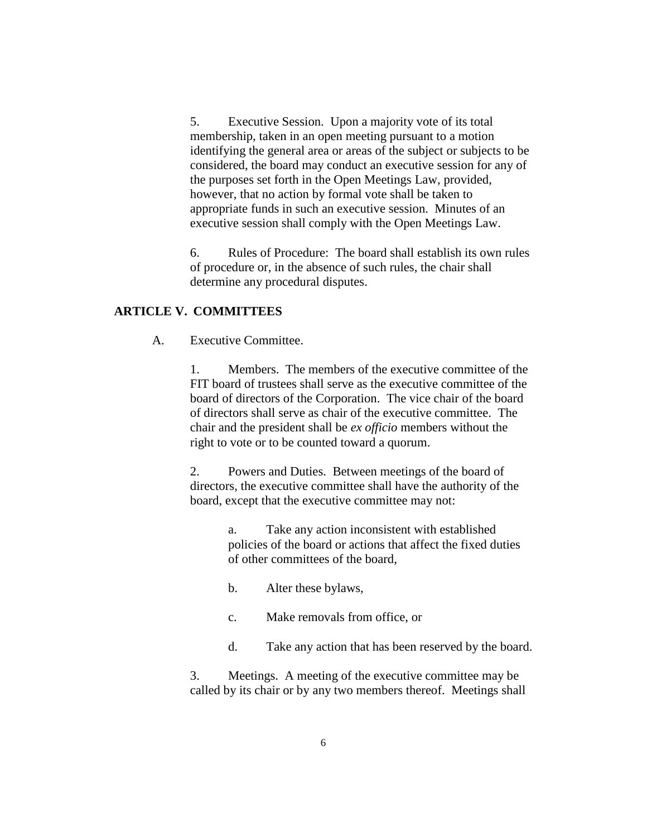5. Executive Session. Upon a majority vote of its total membership, taken in an open meeting pursuant to a motion identifying the general area or areas of the subject or subjects to be considered, the board may conduct an executive session for any of the purposes set forth in the Open Meetings Law, provided, however, that no action by formal vote shall be taken to appropriate funds in such an executive session. Minutes of an executive session shall comply with the Open Meetings Law.

6. Rules of Procedure: The board shall establish its own rules of procedure or, in the absence of such rules, the chair shall determine any procedural disputes.

#### **ARTICLE V. COMMITTEES**

A. Executive Committee.

1. Members. The members of the executive committee of the FIT board of trustees shall serve as the executive committee of the board of directors of the Corporation. The vice chair of the board of directors shall serve as chair of the executive committee. The chair and the president shall be *ex officio* members without the right to vote or to be counted toward a quorum.

2. Powers and Duties. Between meetings of the board of directors, the executive committee shall have the authority of the board, except that the executive committee may not:

> a. Take any action inconsistent with established policies of the board or actions that affect the fixed duties of other committees of the board,

- b. Alter these bylaws,
- c. Make removals from office, or
- d. Take any action that has been reserved by the board.

3. Meetings. A meeting of the executive committee may be called by its chair or by any two members thereof. Meetings shall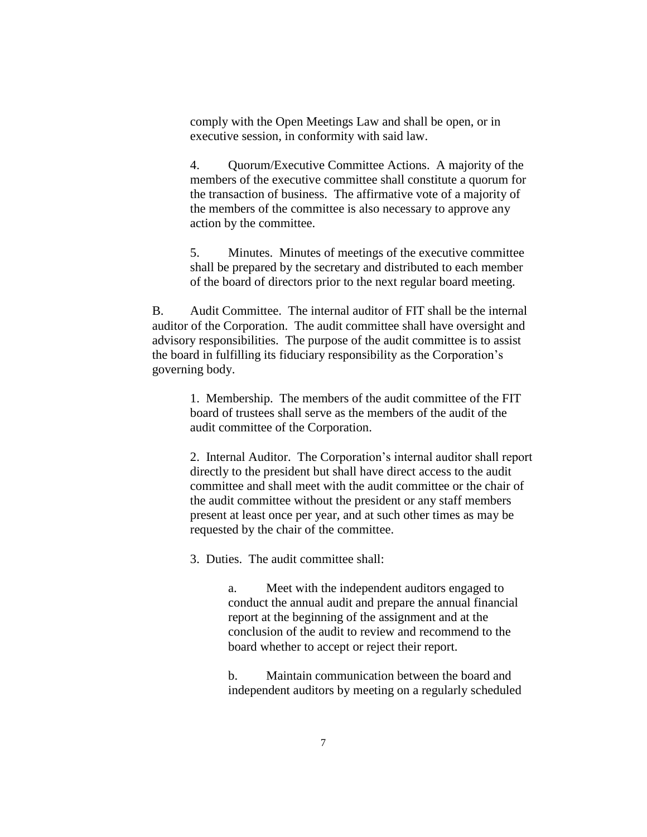comply with the Open Meetings Law and shall be open, or in executive session, in conformity with said law.

4. Quorum/Executive Committee Actions. A majority of the members of the executive committee shall constitute a quorum for the transaction of business. The affirmative vote of a majority of the members of the committee is also necessary to approve any action by the committee.

5. Minutes. Minutes of meetings of the executive committee shall be prepared by the secretary and distributed to each member of the board of directors prior to the next regular board meeting.

B. Audit Committee. The internal auditor of FIT shall be the internal auditor of the Corporation. The audit committee shall have oversight and advisory responsibilities. The purpose of the audit committee is to assist the board in fulfilling its fiduciary responsibility as the Corporation's governing body.

> 1. Membership. The members of the audit committee of the FIT board of trustees shall serve as the members of the audit of the audit committee of the Corporation.

2. Internal Auditor. The Corporation's internal auditor shall report directly to the president but shall have direct access to the audit committee and shall meet with the audit committee or the chair of the audit committee without the president or any staff members present at least once per year, and at such other times as may be requested by the chair of the committee.

3. Duties. The audit committee shall:

a. Meet with the independent auditors engaged to conduct the annual audit and prepare the annual financial report at the beginning of the assignment and at the conclusion of the audit to review and recommend to the board whether to accept or reject their report.

b. Maintain communication between the board and independent auditors by meeting on a regularly scheduled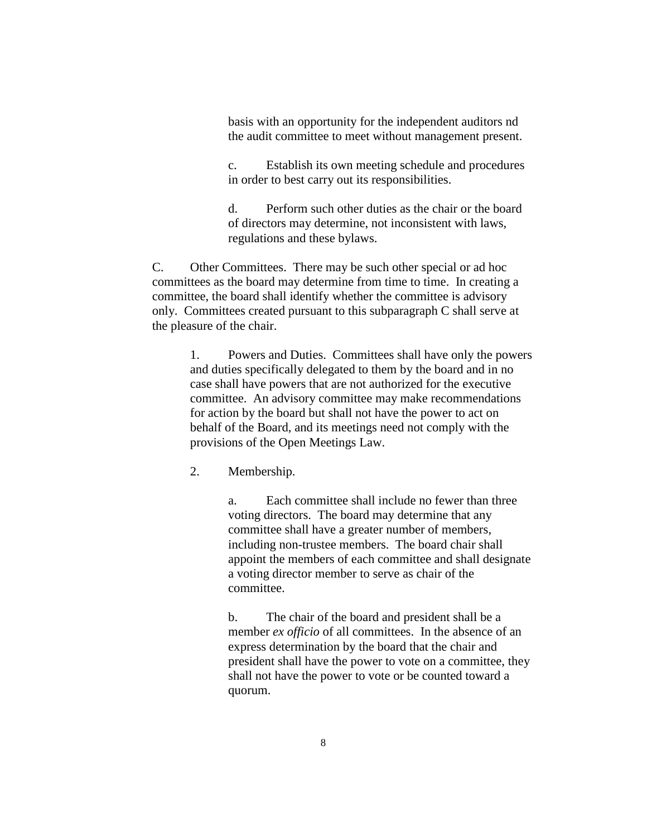basis with an opportunity for the independent auditors nd the audit committee to meet without management present.

c. Establish its own meeting schedule and procedures in order to best carry out its responsibilities.

d. Perform such other duties as the chair or the board of directors may determine, not inconsistent with laws, regulations and these bylaws.

C. Other Committees. There may be such other special or ad hoc committees as the board may determine from time to time. In creating a committee, the board shall identify whether the committee is advisory only. Committees created pursuant to this subparagraph C shall serve at the pleasure of the chair.

1. Powers and Duties. Committees shall have only the powers and duties specifically delegated to them by the board and in no case shall have powers that are not authorized for the executive committee. An advisory committee may make recommendations for action by the board but shall not have the power to act on behalf of the Board, and its meetings need not comply with the provisions of the Open Meetings Law.

2. Membership.

a. Each committee shall include no fewer than three voting directors. The board may determine that any committee shall have a greater number of members, including non-trustee members. The board chair shall appoint the members of each committee and shall designate a voting director member to serve as chair of the committee.

b. The chair of the board and president shall be a member *ex officio* of all committees. In the absence of an express determination by the board that the chair and president shall have the power to vote on a committee, they shall not have the power to vote or be counted toward a quorum.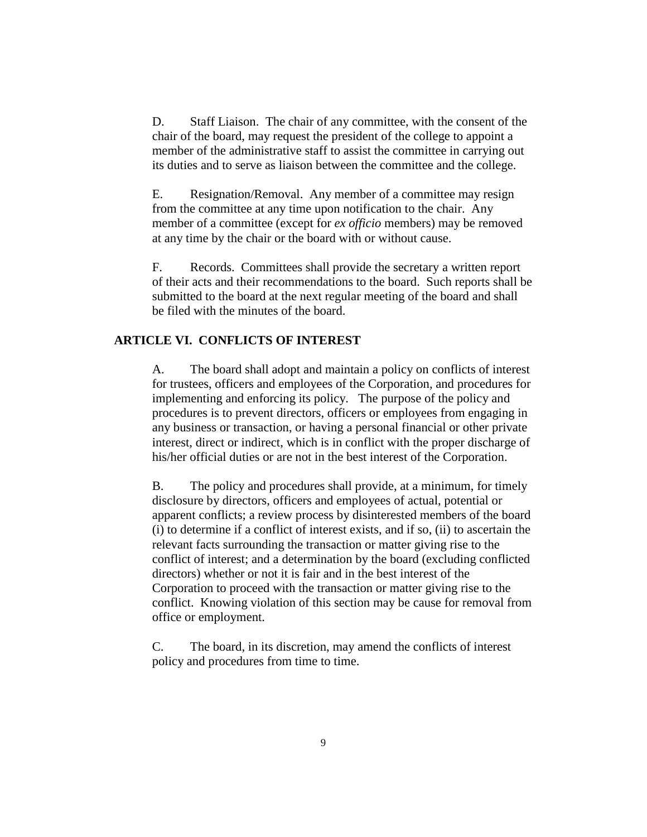D. Staff Liaison. The chair of any committee, with the consent of the chair of the board, may request the president of the college to appoint a member of the administrative staff to assist the committee in carrying out its duties and to serve as liaison between the committee and the college.

E. Resignation/Removal. Any member of a committee may resign from the committee at any time upon notification to the chair. Any member of a committee (except for *ex officio* members) may be removed at any time by the chair or the board with or without cause.

F. Records. Committees shall provide the secretary a written report of their acts and their recommendations to the board. Such reports shall be submitted to the board at the next regular meeting of the board and shall be filed with the minutes of the board.

#### **ARTICLE VI. CONFLICTS OF INTEREST**

A. The board shall adopt and maintain a policy on conflicts of interest for trustees, officers and employees of the Corporation, and procedures for implementing and enforcing its policy. The purpose of the policy and procedures is to prevent directors, officers or employees from engaging in any business or transaction, or having a personal financial or other private interest, direct or indirect, which is in conflict with the proper discharge of his/her official duties or are not in the best interest of the Corporation.

B. The policy and procedures shall provide, at a minimum, for timely disclosure by directors, officers and employees of actual, potential or apparent conflicts; a review process by disinterested members of the board (i) to determine if a conflict of interest exists, and if so, (ii) to ascertain the relevant facts surrounding the transaction or matter giving rise to the conflict of interest; and a determination by the board (excluding conflicted directors) whether or not it is fair and in the best interest of the Corporation to proceed with the transaction or matter giving rise to the conflict. Knowing violation of this section may be cause for removal from office or employment.

C. The board, in its discretion, may amend the conflicts of interest policy and procedures from time to time.